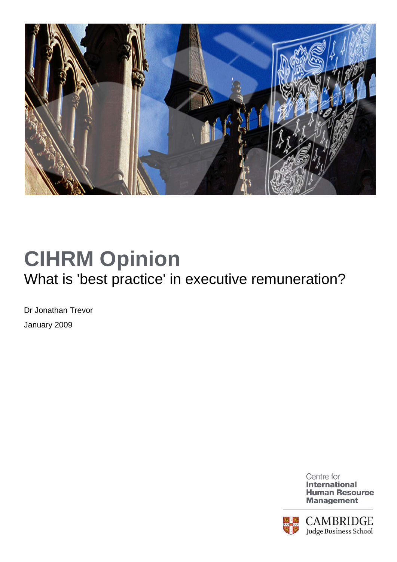

## **CIHRM Opinion**  What is 'best practice' in executive remuneration?

Dr Jonathan Trevor January 2009



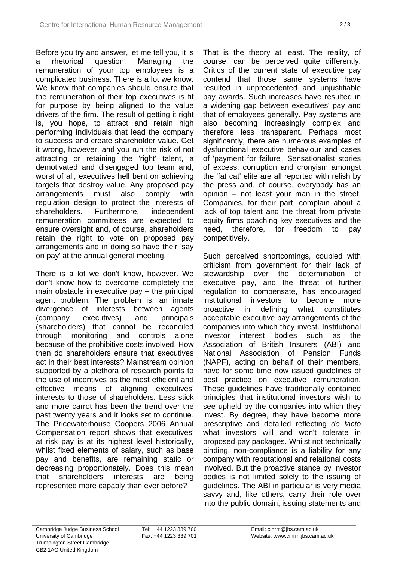Before you try and answer, let me tell you, it is a rhetorical question. Managing the remuneration of your top employees is a complicated business. There is a lot we know. We know that companies should ensure that the remuneration of their top executives is fit for purpose by being aligned to the value drivers of the firm. The result of getting it right is, you hope, to attract and retain high performing individuals that lead the company to success and create shareholder value. Get it wrong, however, and you run the risk of not attracting or retaining the 'right' talent, a demotivated and disengaged top team and, worst of all, executives hell bent on achieving targets that destroy value. Any proposed pay arrangements must also comply with regulation design to protect the interests of shareholders. Furthermore, independent remuneration committees are expected to ensure oversight and, of course, shareholders retain the right to vote on proposed pay arrangements and in doing so have their 'say on pay' at the annual general meeting.

There is a lot we don't know, however. We don't know how to overcome completely the main obstacle in executive pay – the principal agent problem. The problem is, an innate divergence of interests between agents (company executives) and principals (shareholders) that cannot be reconciled through monitoring and controls alone because of the prohibitive costs involved. How then do shareholders ensure that executives act in their best interests? Mainstream opinion supported by a plethora of research points to the use of incentives as the most efficient and effective means of aligning executives' interests to those of shareholders. Less stick and more carrot has been the trend over the past twenty years and it looks set to continue. The Pricewaterhouse Coopers 2006 Annual Compensation report shows that executives' at risk pay is at its highest level historically, whilst fixed elements of salary, such as base pay and benefits, are remaining static or decreasing proportionately. Does this mean that shareholders interests are being represented more capably than ever before?

That is the theory at least. The reality, of course, can be perceived quite differently. Critics of the current state of executive pay contend that those same systems have resulted in unprecedented and unjustifiable pay awards. Such increases have resulted in a widening gap between executives' pay and that of employees generally. Pay systems are also becoming increasingly complex and therefore less transparent. Perhaps most significantly, there are numerous examples of dysfunctional executive behaviour and cases of 'payment for failure'. Sensationalist stories of excess, corruption and cronyism amongst the 'fat cat' elite are all reported with relish by the press and, of course, everybody has an opinion – not least your man in the street. Companies, for their part, complain about a lack of top talent and the threat from private equity firms poaching key executives and the need, therefore, for freedom to pay competitively.

Such perceived shortcomings, coupled with criticism from government for their lack of stewardship over the determination of executive pay, and the threat of further regulation to compensate, has encouraged institutional investors to become more proactive in defining what constitutes acceptable executive pay arrangements of the companies into which they invest. Institutional investor interest bodies such as the Association of British Insurers (ABI) and National Association of Pension Funds (NAPF), acting on behalf of their members, have for some time now issued guidelines of best practice on executive remuneration. These guidelines have traditionally contained principles that institutional investors wish to see upheld by the companies into which they invest. By degree, they have become more prescriptive and detailed reflecting *de facto* what investors will and won't tolerate in proposed pay packages. Whilst not technically binding, non-compliance is a liability for any company with reputational and relational costs involved. But the proactive stance by investor bodies is not limited solely to the issuing of guidelines. The ABI in particular is very media savvy and, like others, carry their role over into the public domain, issuing statements and